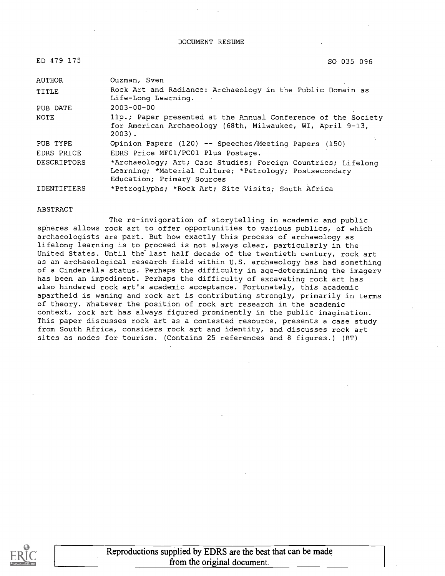#### DOCUMENT RESUME

| ED 479 175 | SO 035 096 |
|------------|------------|
|            |            |

| AUTHOR             | Ouzman, Sven                                                                                                                                         |
|--------------------|------------------------------------------------------------------------------------------------------------------------------------------------------|
| TITLE              | Rock Art and Radiance: Archaeology in the Public Domain as<br>Life-Long Learning.                                                                    |
| PUB DATE           | $2003 - 00 - 00$                                                                                                                                     |
| NOTE               | 11p.; Paper presented at the Annual Conference of the Society<br>for American Archaeology (68th, Milwaukee, WI, April 9-13,<br>$2003$ .              |
| PUB TYPE           | Opinion Papers (120) -- Speeches/Meeting Papers (150)                                                                                                |
| EDRS PRICE         | EDRS Price MF01/PC01 Plus Postage.                                                                                                                   |
| <b>DESCRIPTORS</b> | *Archaeology; Art; Case Studies; Foreign Countries; Lifelong<br>Learning; *Material Culture; *Petrology; Postsecondary<br>Education; Primary Sources |
| IDENTIFIERS        | *Petroglyphs; *Rock Art; Site Visits; South Africa                                                                                                   |

#### ABSTRACT

The re-invigoration of storytelling in academic and public spheres allows rock art to offer opportunities to various publics, of which archaeologists are part. But how exactly this process of archaeology as lifelong learning is to proceed is not always clear, particularly in the United States. Until the'last half decade of the twentieth century, rock art as an archaeological research field within U.S. archaeology has had something of a Cinderella status. Perhaps the difficulty in age-determining the imagery has been an impediment. Perhaps the difficulty of excavating rock art has also hindered rock art's academic acceptance. Fortunately, this academic apartheid is waning and rock art is contributing strongly, primarily in terms of theory. Whatever the position of rock art research in the academic context, rock art has always figured prominently in the public imagination. This paper discusses rock art as a contested resource, presents a case study from South Africa, considers rock art and identity, and discusses rock art sites as nodes for tourism. (Contains 25 references and 8 figures.) (BT)

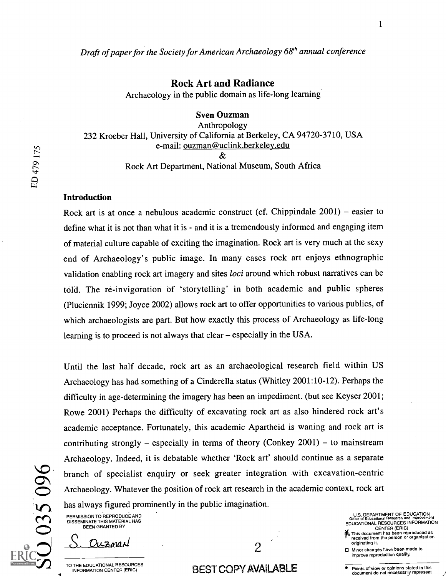Rock Art and Radiance

Archaeology in the public domain as life-long learning

Sven Ouzman

Anthropology 232 Kroeber Hall, University of California at Berkeley, CA 94720-3710, USA e-mail: ouzman@uclink.berkeley.edu  $\mathcal{R}_{\mathcal{I}}$ Rock Art Department, National Museum, South Africa

#### Introduction

ED 479 175

Rock art is at once a nebulous academic construct (cf. Chippindale  $2001$ ) – easier to define what it is not than what it is - and it is a tremendously informed and engaging item of material culture capable of exciting the imagination. Rock art is very much at the sexy end of Archaeology's public image. In many cases rock art enjoys ethnographic validation enabling rock art imagery and sites *loci* around which robust narratives can be told. The re-invigoration of 'storytelling' in both academic and public spheres (Pluciennik 1999; Joyce 2002) allows rock art to offer opportunities to various publics, of which archaeologists are part. But how exactly this process of Archaeology as life-long learning is to proceed is not always that clear – especially in the USA.

 $\bullet$  has always figured prominently in the public imagination. Until the last half decade, rock art as an archaeological research field within US Archaeology has had something of a Cinderella status (Whitley 2001:10-12). Perhaps the difficulty in age-determining the imagery has been an impediment. (but see Keyser 2001; Rowe 2001) Perhaps the difficulty of excavating rock art as also hindered rock art's academic acceptance. Fortunately, this academic Apartheid is waning and rock art is contributing strongly – especially in terms of theory (Conkey  $2001$ ) – to mainstream Archaeology. Indeed, it is debatable whether 'Rock art' should continue as a separate branch of specialist enquiry or seek greater integration with excavation-centric Archaeology. Whatever the position of rock art research in the academic context, rock art

PERMISSION TO REPRODUCE AND DISSEMINATE THIS MATERIAL HAS BEEN GRANTED BY

Ouzman

TO THE EDUCATIONAL RESOURCES INFORMATION CENTER (ERIC)

2

## BEST COPY AVAILABLE

U.S. DEPARTMENT OF EDUCATION Office of Educational Research and Improvement EDUCATIONAL RESOURCES INFORMATION

- CENTER (ERIC) 04 This document has been reproduced as received from the person or organization originating it.
- Minor changes have been made to improve reproduction quality.

 $\mathbf{1}$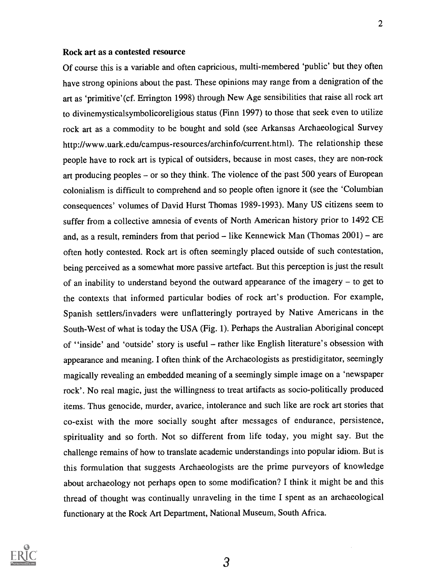#### Rock art as a contested resource

Of course this is a variable and often capricious, multi-membered 'public' but they often have strong opinions about the past. These opinions may range from a denigration of the art as 'primitive' (cf. Errington 1998) through New Age sensibilities that raise all rock art to divinemysticalsymbolicoreligious status (Finn 1997) to those that seek even to utilize rock art as a commodity to be bought and sold (see Arkansas Archaeological Survey http://www.uark.edu/campus-resources/archinfo/current.html). The relationship these people have to rock art is typical of outsiders, because in most cases, they are non-rock art producing peoples  $-$  or so they think. The violence of the past 500 years of European colonialism is difficult to comprehend and so people often ignore it (see the 'Columbian consequences' volumes of David Hurst Thomas 1989-1993). Many US citizens seem to suffer from a collective amnesia of events of North American history prior to 1492 CE and, as a result, reminders from that period  $-$  like Kennewick Man (Thomas 2001) – are often hotly contested. Rock art is often seemingly placed outside of such contestation, being perceived as a somewhat more passive artefact. But this perception is just the result of an inability to understand beyond the outward appearance of the imagery  $-$  to get to the contexts that informed particular bodies of rock art's production. For example, Spanish settlers/invaders were unflatteringly portrayed by Native Americans in the South-West of what is today the USA (Fig. 1). Perhaps the Australian Aboriginal concept of "inside" and 'outside' story is useful - rather like English literature's obsession with appearance and meaning. I often think of the Archaeologists as prestidigitator, seemingly magically revealing an embedded meaning of a seemingly simple image on a 'newspaper rock'. No real magic, just the willingness to treat artifacts as socio-politically produced items. Thus genocide, murder, avarice, intolerance and such like are rock art stories that co-exist with the more socially sought after messages of endurance, persistence, spirituality and so forth. Not so different from life today, you might say. But the challenge remains of how to translate academic understandings into popular idiom. But is this formulation that suggests Archaeologists are the prime purveyors of knowledge about archaeology not perhaps open to some modification? I think it might be and this thread of thought was continually unraveling in the time I spent as an archaeological functionary at the Rock Art Department, National Museum, South Africa.

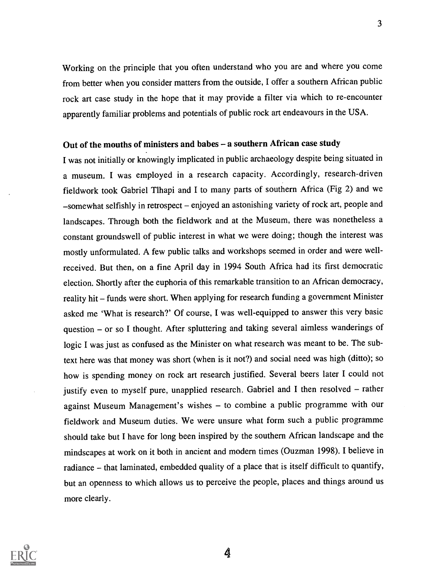Working on the principle that you often understand who you are and where you come from better when you consider matters from the outside, I offer a southern African public rock art case study in the hope that it may provide a filter via which to re-encounter apparently familiar problems and potentials of public rock art endeavours in the USA.

## Out of the mouths of ministers and babes - a southern African case study

I was not initially or knowingly implicated in public archaeology despite being situated in a museum. I was employed in a research capacity. Accordingly, research-driven fieldwork took Gabriel Tlhapi and I to many parts of southern Africa (Fig 2) and we -somewhat selfishly in retrospect - enjoyed an astonishing variety of rock art, people and landscapes. Through both the fieldwork and at the Museum, there was nonetheless a constant groundswell of public interest in what we were doing; though the interest was mostly unformulated. A few public talks and workshops seemed in order and were wellreceived. But then, on a fine April day in 1994 South Africa had its first democratic election. Shortly after the euphoria of this remarkable transition to an African democracy, reality hit - funds were short. When applying for research funding a government Minister asked me 'What is research?' Of course, I was well-equipped to answer this very basic question - or so I thought. After spluttering and taking several aimless wanderings of logic I was just as confused as the Minister on what research was meant to be. The subtext here was that money was short (when is it not?) and social need was high (ditto); so how is spending money on rock art research justified. Several beers later I could not justify even to myself pure, unapplied research. Gabriel and I then resolved - rather against Museum Management's wishes - to combine a public programme with our fieldwork and Museum duties. We were unsure what form such a public programme should take but I have for long been inspired by the southern African landscape and the mindscapes at work on it both in ancient and modern times (Ouzman 1998). I believe in radiance - that laminated, embedded quality of a place that is itself difficult to quantify, but an openness to which allows us to perceive the people, places and things around us more clearly.



4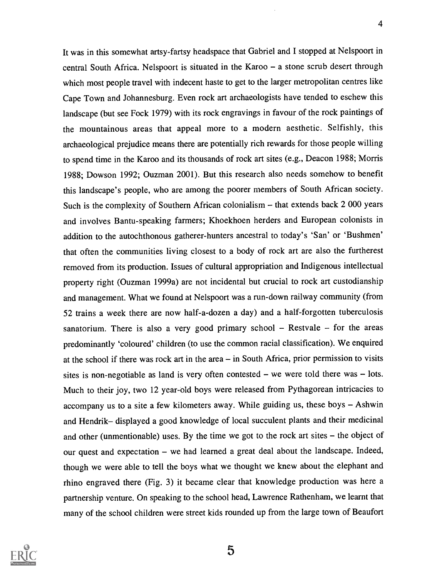It was in this somewhat artsy-fartsy headspace that Gabriel and I stopped at Nelspoort in central South Africa. Nelspoort is situated in the Karoo  $-$  a stone scrub desert through which most people travel with indecent haste to get to the larger metropolitan centres like Cape Town and Johannesburg. Even rock art archaeologists have tended to eschew this landscape (but see Fock 1979) with its rock engravings in favour of the rock paintings of the mountainous areas that appeal more to a modern aesthetic. Selfishly, this archaeological prejudice means there are potentially rich rewards for those people willing to spend time in the Karoo and its thousands of rock art sites (e.g., Deacon 1988; Morris 1988; Dowson 1992; Ouzman 2001). But this research also needs somehow to benefit this landscape's people, who are among the poorer members of South African society. Such is the complexity of Southern African colonialism – that extends back 2 000 years and involves Bantu-speaking farmers; Khoekhoen herders and European colonists in addition to the autochthonous gatherer-hunters ancestral to today's 'San' or 'Bushmen' that often the communities living closest to a body of rock art are also the furtherest removed from its production. Issues of cultural appropriation and Indigenous intellectual property right (Ouzman 1999a) are not incidental but crucial to rock art custodianship and management. What we found at Nelspoort was a run-down railway community (from 52 trains a week there are now half-a-dozen a day) and a half-forgotten tuberculosis sanatorium. There is also a very good primary school  $-$  Restvale  $-$  for the areas predominantly 'coloured' children (to use the common racial classification). We enquired at the school if there was rock art in the area  $-$  in South Africa, prior permission to visits sites is non-negotiable as land is very often contested  $-$  we were told there was  $-$  lots. Much to their joy, two 12 year-old boys were released from Pythagorean intricacies to accompany us to a site a few kilometers away. While guiding us, these boys  $-$  Ashwin and Hendrik- displayed a good knowledge of local succulent plants and their medicinal and other (unmentionable) uses. By the time we got to the rock art sites  $-$  the object of our quest and expectation - we had learned a great deal about the landscape. Indeed, though we were able to tell the boys what we thought we knew about the elephant and rhino engraved there (Fig. 3) it became clear that knowledge production was here a partnership venture. On speaking to the school head, Lawrence Rathenham, we learnt that many of the school children were street kids rounded up from the large town of Beaufort

4

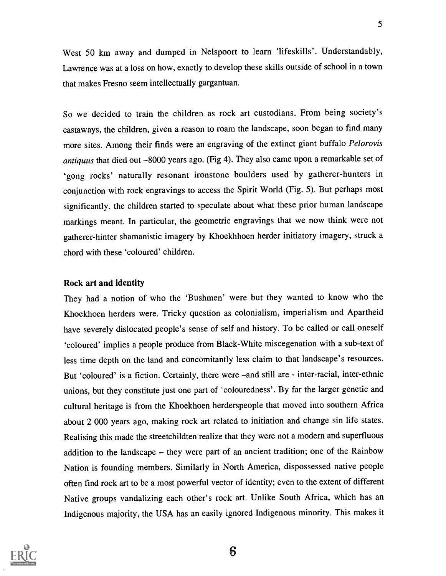West 50 km away and dumped in Nelspoort to learn 'lifeskills'. Understandably, Lawrence was at a loss on how, exactly to develop these skills outside of school in a town that makes Fresno seem intellectually gargantuan.

So we decided to train the children as rock art custodians. From being society's castaways, the children, given a reason to roam the landscape, soon began to find many more sites. Among their finds were an engraving of the extinct giant buffalo Pelorovis antiquus that died out ~8000 years ago. (Fig 4). They also came upon a remarkable set of `gong rocks' naturally resonant ironstone boulders used by gatherer-hunters in conjunction with rock engravings to access the Spirit World (Fig. 5). But perhaps most significantly. the children started to speculate about what these prior human landscape markings meant. In particular, the geometric engravings that we now think were not gatherer-hinter shamanistic imagery by Khoekhhoen herder initiatory imagery, struck a chord with these 'coloured' children.

#### Rock art and identity

They had a notion of who the 'Bushmen' were but they wanted to know who the Khoekhoen herders were. Tricky question as colonialism, imperialism and Apartheid have severely dislocated people's sense of self and history. To be called or call oneself `coloured' implies a people produce from Black-White miscegenation with a sub-text of less time depth on the land and concomitantly less claim to that landscape's resources. But 'coloured' is a fiction. Certainly, there were -and still are - inter-racial, inter-ethnic unions, but they constitute just one part of 'colouredness'. By far the larger genetic and cultural heritage is from the Khoekhoen herderspeople that moved into southern Africa about 2 000 years ago, making rock art related to initiation and change sin life states. Realising this made the streetchildten realize that they were not a modern and superfluous addition to the landscape  $-$  they were part of an ancient tradition; one of the Rainbow Nation is founding members. Similarly in North America, dispossessed native people often find rock art to be a most powerful vector of identity; even to the extent of different Native groups vandalizing each other's rock art. Unlike South Africa, which has an Indigenous majority, the USA has an easily ignored Indigenous minority. This makes it

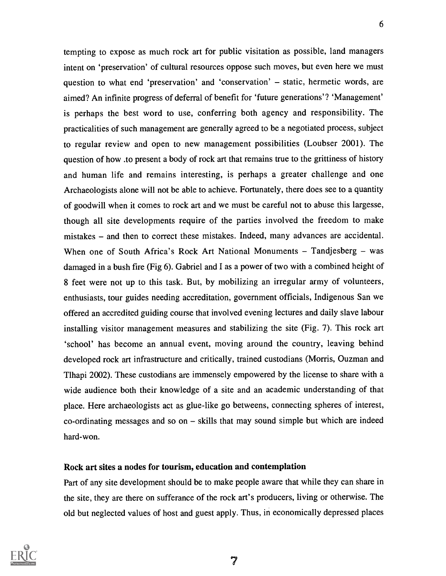tempting to expose as much rock art for public visitation as possible, land managers intent on 'preservation' of cultural resources oppose such moves, but even here we must question to what end 'preservation' and 'conservation'  $-$  static, hermetic words, are aimed? An infinite progress of deferral of benefit for 'future generations'? 'Management' is perhaps the best word to use, conferring both agency and responsibility. The practicalities of such management are generally agreed to be a negotiated process, subject to regular review and open to new management possibilities (Loubser 2001). The question of how .to present a body of rock art that remains true to the grittiness of history and human life and remains interesting, is perhaps a greater challenge and one Archaeologists alone will not be able to achieve. Fortunately, there does see to a quantity of goodwill when it comes to rock art and we must be careful not to abuse this largesse, though all site developments require of the parties involved the freedom to make mistakes – and then to correct these mistakes. Indeed, many advances are accidental. When one of South Africa's Rock Art National Monuments  $-$  Tandjesberg  $-$  was damaged in a bush fire (Fig 6). Gabriel and I as a power of two with a combined height of 8 feet were not up to this task. But, by mobilizing an irregular army of volunteers, enthusiasts, tour guides needing accreditation, government officials, Indigenous San we offered an accredited guiding course that involved evening lectures and daily slave labour installing visitor management measures and stabilizing the site (Fig. 7). This rock art `school' has become an annual event, moving around the country, leaving behind developed rock art infrastructure and critically, trained custodians (Morris, Ouzman and Tlhapi 2002). These custodians are immensely empowered by the license to share with a wide audience both their knowledge of a site and an academic understanding of that place. Here archaeologists act as glue-like go betweens, connecting spheres of interest,  $co-ordinating messages and so on - skills that may sound simple but which are indeed$ hard-won.

## Rock art sites a nodes for tourism, education and contemplation

Part of any site development should be to make people aware that while they can share in the site, they are there on sufferance of the rock art's producers, living or otherwise. The old but neglected values of host and guest apply. Thus, in economically depressed places

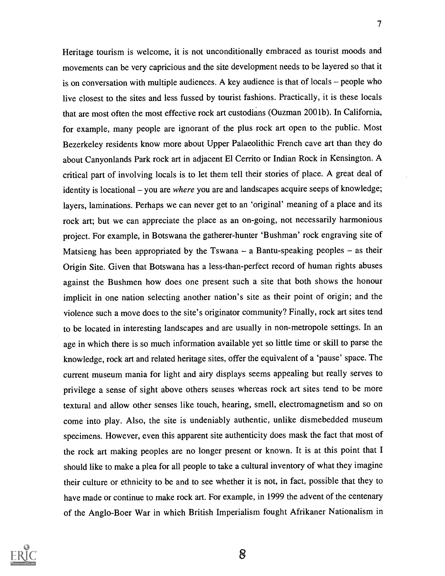Heritage tourism is welcome, it is not unconditionally embraced as tourist moods and movements can be very capricious and the site development needs to be layered so that it is on conversation with multiple audiences. A key audience is that of locals  $-$  people who live closest to the sites and less fussed by tourist fashions. Practically, it is these locals that are most often the most effective rock art custodians (Ouzman 2001b). In California, for example, many people are ignorant of the plus rock art open to the public. Most Bezerkeley residents know more about Upper Palaeolithic French cave art than they do about Canyonlands Park rock art in adjacent El Cerrito or Indian Rock in Kensington. A critical part of involving locals is to let them tell their stories of place. A great deal of identity is locational  $-$  you are where you are and landscapes acquire seeps of knowledge; layers, laminations. Perhaps we can never get to an 'original' meaning of a place and its rock art; but we can appreciate the place as an on-going, not necessarily harmonious project. For example, in Botswana the gatherer-hunter 'Bushman' rock engraving site of Matsieng has been appropriated by the Tswana  $-$  a Bantu-speaking peoples  $-$  as their Origin Site. Given that Botswana has a less-than-perfect record of human rights abuses against the Bushmen how does one present such a site that both shows the honour implicit in one nation selecting another nation's site as their point of origin; and the violence such a move does to the site's originator community? Finally, rock art sites tend to be located in interesting landscapes and are usually in non-metropole settings. In an age in which there is so much information available yet so little time or skill to parse the knowledge, rock art and related heritage sites, offer the equivalent of a 'pause' space. The current museum mania for light and airy displays seems appealing but really serves to privilege a sense of sight above others senses whereas rock art sites tend to be more textural and allow other senses like touch, hearing, smell, electromagnetism and so on come into play. Also, the site is undeniably authentic, unlike dismebedded museum specimens. However, even this apparent site authenticity does mask the fact that most of the rock art making peoples are no longer present or known. It is at this point that I should like to make a plea for all people to take a cultural inventory of what they imagine their culture or ethnicity to be and to see whether it is not, in fact, possible that they to have made or continue to make rock art. For example, in 1999 the advent of the centenary of the Anglo-Boer War in which British Imperialism fought Afrikaner Nationalism in

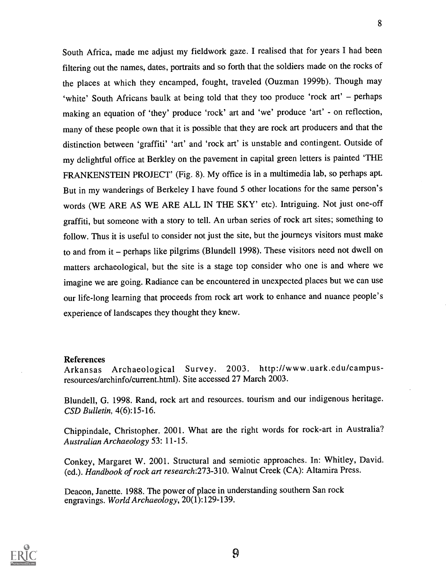South Africa, made me adjust my fieldwork gaze. I realised that for years I had been filtering out the names, dates, portraits and so forth that the soldiers made on the rocks of the places at which they encamped, fought, traveled (Ouzman 1999b). Though may 'white' South Africans baulk at being told that they too produce 'rock art' - perhaps making an equation of 'they' produce 'rock' art and 'we' produce 'art' - on reflection, many of these people own that it is possible that they are rock art producers and that the distinction between 'graffiti' 'art' and 'rock art' is unstable and contingent. Outside of my delightful office at Berkley on the pavement in capital green letters is painted 'THE FRANKENSTEIN PROJECT' (Fig. 8). My office is in a multimedia lab, so perhaps apt. But in my wanderings of Berkeley I have found 5 other locations for the same person's words (WE ARE AS WE ARE ALL IN THE SKY' etc). Intriguing. Not just one-off graffiti, but someone with a story to tell. An urban series of rock art sites; something to follow. Thus it is useful to consider not just the site, but the journeys visitors must make to and from it – perhaps like pilgrims (Blundell 1998). These visitors need not dwell on matters archaeological, but the site is a stage top consider who one is and where we imagine we are going. Radiance can be encountered in unexpected places but we can use our life-long learning that proceeds from rock art work to enhance and nuance people's experience of landscapes they thought they knew.

### References

Arkansas Archaeological Survey. 2003. http://www.uark.edu/campusresources/archinfo/current.html). Site accessed 27 March 2003.

Blundell, G. 1998. Rand, rock art and resources. tourism and our indigenous heritage. CSD Bulletin, 4(6):15-16.

Chippindale, Christopher. 2001. What are the right words for rock-art in Australia? Australian Archaeology 53: 11-15.

Conkey, Margaret W. 2001. Structural and semiotic approaches. In: Whitley, David. (ed.). Handbook of rock art research:273-310. Walnut Creek (CA): Altamira Press.

Deacon, Janette. 1988. The power of place in understanding southern San rock engravings. World Archaeology, 20(1):129-139.

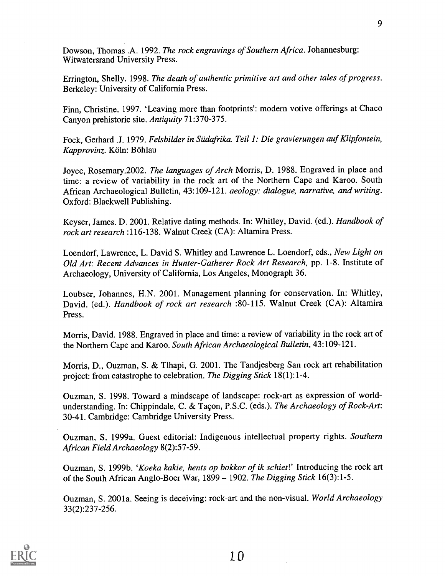Dowson, Thomas .A. 1992. The rock engravings of Southern Africa. Johannesburg: Witwatersrand University Press.

Errington, Shelly. 1998. The death of authentic primitive art and other tales of progress. Berkeley: University of California Press.

Finn, Christine. 1997. 'Leaving more than footprints': modern votive offerings at Chaco Canyon prehistoric site. Antiquity 71:370-375.

Fock, Gerhard .J. 1979. Felsbilder in Siidafrika. Teil 1: Die gravierungen auf Klipfontein, Kapprovinz. Köln: Böhlau

Joyce, Rosemary.2002. The languages of Arch Morris, D. 1988. Engraved in place and time: a review of variability in the rock art of the Northern Cape and Karoo. South African Archaeological Bulletin, 43:109-121. aeology: dialogue, narrative, and writing. Oxford: Blackwell Publishing.

Keyser, James. D. 2001. Relative dating methods. In: Whitley, David. (ed.). Handbook of rock art research :116-138. Walnut Creek (CA): Altamira Press.

Loendorf, Lawrence, L. David S. Whitley and Lawrence L. Loendorf, eds., New Light on Old Art: Recent Advances in Hunter-Gatherer Rock Art Research, pp. 1-8. Institute of Archaeology, University of California, Los Angeles, Monograph 36.

Loubser, Johannes, H.N. 2001. Management planning for conservation. In: Whitley, David. (ed.). Handbook of rock art research :80-115. Walnut Creek (CA): Altamira Press.

Morris, David. 1988. Engraved in place and time: a review of variability in the rock art of the Northern Cape and Karoo. South African Archaeological Bulletin, 43:109-121.

Morris, D., Ouzman, S. & Tlhapi, G. 2001. The Tandjesberg San rock art rehabilitation project: from catastrophe to celebration. The Digging Stick 18(1):1-4.

Ouzman, S. 1998. Toward a mindscape of landscape: rock-art as expression of worldunderstanding. In: Chippindale, C. & Tacon, P.S.C. (eds.). The Archaeology of Rock-Art: 30-41. Cambridge: Cambridge University Press.

Ouzman, S. 1999a. Guest editorial: Indigenous intellectual property rights. Southern African Field Archaeology 8(2):57-59.

Ouzman, S. 1999b. 'Koeka kakie, hents op bokkor of ik schiet!' Introducing the rock art of the South African Anglo-Boer War,  $1899 - 1902$ . The Digging Stick 16(3):1-5.

Ouzman, S. 2001a. Seeing is deceiving: rock-art and the non-visual. World Archaeology 33(2):237-256.

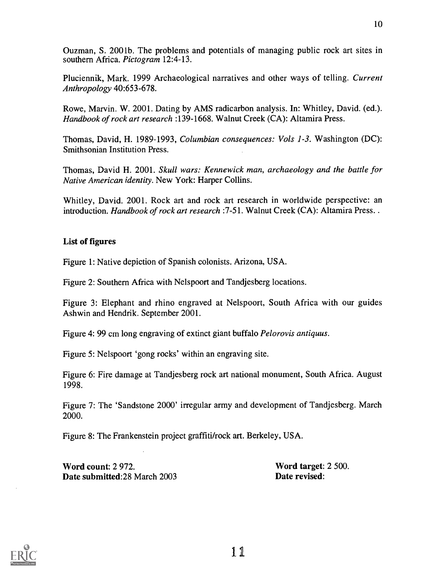Ouzman, S. 200 lb. The problems and potentials of managing public rock art sites in southern Africa. Pictogram 12:4-13.

Pluciennik, Mark. 1999 Archaeological narratives and other ways of telling. Current Anthropology 40:653-678.

Rowe, Marvin. W. 2001. Dating by AMS radicarbon analysis. In: Whitley, David. (ed.). Handbook of rock art research :139-1668. Walnut Creek (CA): Altamira Press.

Thomas, David, H. 1989-1993, Columbian consequences: Vols 1-3. Washington (DC): Smithsonian Institution Press.

Thomas, David H. 2001. Skull wars: Kennewick man, archaeology and the battle for Native American identity. New York: Harper Collins.

Whitley, David. 2001. Rock art and rock art research in worldwide perspective: an introduction. Handbook of rock art research : 7-51. Walnut Creek (CA): Altamira Press. .

## List of figures

Figure 1: Native depiction of Spanish colonists. Arizona, USA.

Figure 2: Southern Africa with Nelspoort and Tandjesberg locations.

Figure 3: Elephant and rhino engraved at Nelspoort, South Africa with our guides Ashwin and Hendrik. September 2001.

Figure 4: 99 cm long engraving of extinct giant buffalo Pelorovis antiquus.

Figure 5: Nelspoort 'gong rocks' within an engraving site.

Figure 6: Fire damage at Tandjesberg rock art national monument, South Africa. August 1998.

Figure 7: The 'Sandstone 2000' irregular army and development of Tandjesberg. March 2000.

Figure 8: The Frankenstein project graffiti/rock art. Berkeley, USA.

Word count: 2 972.<br>
Date submitted: 28 March 2003<br>
Date revised: Date submitted: 28 March 2003

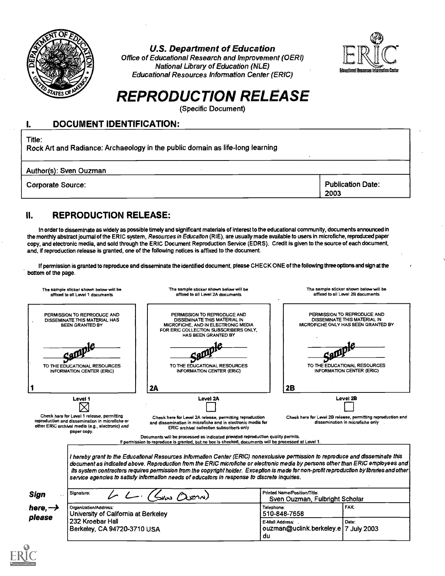

U.S. Department of Education

Office of Educational Research and Improvement (OERI) National Library of Education (NLE) Educational Resources Information Center (ERIC)



# REPRODUCTION RELEASE

(Specific Document)

#### 1. DOCUMENT IDENTIFICATION:

Title:

Rock Art and Radiance: Archaeology in the public domain as life-long learning

Author(s): Sven Ouzman

Corporate Source: Publication Date: Publication Date: Publication Date: Publication Date:

2003

## II. REPRODUCTION RELEASE:

In order to disseminate as widely as possible timely and significant materials of interest to the educational community, documents announced in the monthly abstract journal of the ERIC system, Resources in Education (RIE), are usually made available to users in microfiche, reproduced paper copy, and electronic media, and sold through the ERIC Document Reproduction Service (EDRS). Credit is given to the source of each document, and, if reproduction release is granted, one of the following notices is affixed to the document.

If permission is granted to reproduce and disseminate the identified document, please CHECK ONE of the following three options and sign at the bottom of the page.

|                               | The sample sticker shown below will be<br>affixed to all Level 1 documents                                                                                       | The sample sticker shown below will be<br>affixed to all Level 2A documents                                                                                                                                                                                                                                                                                                                                                                                                                                       |                                                                | The sample sticker shown below will be<br>affixed to all Level 2B documents                        |
|-------------------------------|------------------------------------------------------------------------------------------------------------------------------------------------------------------|-------------------------------------------------------------------------------------------------------------------------------------------------------------------------------------------------------------------------------------------------------------------------------------------------------------------------------------------------------------------------------------------------------------------------------------------------------------------------------------------------------------------|----------------------------------------------------------------|----------------------------------------------------------------------------------------------------|
|                               | PERMISSION TO REPRODUCE AND<br>DISSEMINATE THIS MATERIAL HAS<br>BEEN GRANTED BY                                                                                  | PERMISSION TO REPRODUCE AND<br>DISSEMINATE THIS MATERIAL IN<br>MICROFICHE, AND IN ELECTRONIC MEDIA<br>FOR ERIC COLLECTION SUBSCRIBERS ONLY,<br>HAS BEEN GRANTED BY                                                                                                                                                                                                                                                                                                                                                |                                                                | PERMISSION TO REPRODUCE AND<br>DISSEMINATE THIS MATERIAL IN<br>MICROFICHE ONLY HAS BEEN GRANTED BY |
|                               | TO THE EDUCATIONAL RESOURCES<br><b>INFORMATION CENTER (ERIC)</b>                                                                                                 | TO THE EDUCATIONAL RESOURCES<br><b>INFORMATION CENTER (ERIC)</b>                                                                                                                                                                                                                                                                                                                                                                                                                                                  |                                                                | TO THE EDUCATIONAL RESOURCES<br><b>INFORMATION CENTER (ERIC)</b>                                   |
|                               |                                                                                                                                                                  | 2A                                                                                                                                                                                                                                                                                                                                                                                                                                                                                                                | 2B                                                             |                                                                                                    |
| Level 1                       |                                                                                                                                                                  | Level 2A                                                                                                                                                                                                                                                                                                                                                                                                                                                                                                          | Level 2B                                                       |                                                                                                    |
|                               | Check here for Level 1 release, permitting<br>reproduction and dissemination in microfiche or<br>other ERIC archival media (e.g., electronic) and<br>paper copy. | Check here for Level 2A release, permitting reproduction<br>and dissemination in microfiche and in electronic media for<br>ERIC archival collection subscribers only<br>Documents will be processed as indicated provided reproduction quality permits.<br>If permission to reproduce is granted, but no box is checked, documents will be processed at Level 1.                                                                                                                                                  |                                                                | Check here for Level 2B release, permitting reproduction and<br>dissemination in microfiche only   |
|                               |                                                                                                                                                                  |                                                                                                                                                                                                                                                                                                                                                                                                                                                                                                                   |                                                                |                                                                                                    |
|                               |                                                                                                                                                                  | I hereby grant to the Educational Resources Information Center (ERIC) nonexclusive permission to reproduce and disseminate this<br>document as indicated above. Reproduction from the ERIC microfiche or electronic media by persons other than ERIC employees and<br>its system contractors requires permission from the copyright holder. Exception is made for non-profit reproduction by libraries and other<br>service agencies to satisfy information needs of educators in response to discrete inquiries. |                                                                |                                                                                                    |
| Sign                          | Signature:                                                                                                                                                       | $S_{\text{WQ}}$ $\Omega$ $\text{RQ}$                                                                                                                                                                                                                                                                                                                                                                                                                                                                              | Printed Name/Position/Title:<br>Sven Ouzman, Fulbright Scholar |                                                                                                    |
| here, $\rightarrow$<br>please | Organization/Address:<br>University of California at Berkeley                                                                                                    |                                                                                                                                                                                                                                                                                                                                                                                                                                                                                                                   | Telephone:<br>510-848-7658                                     | FAX.                                                                                               |